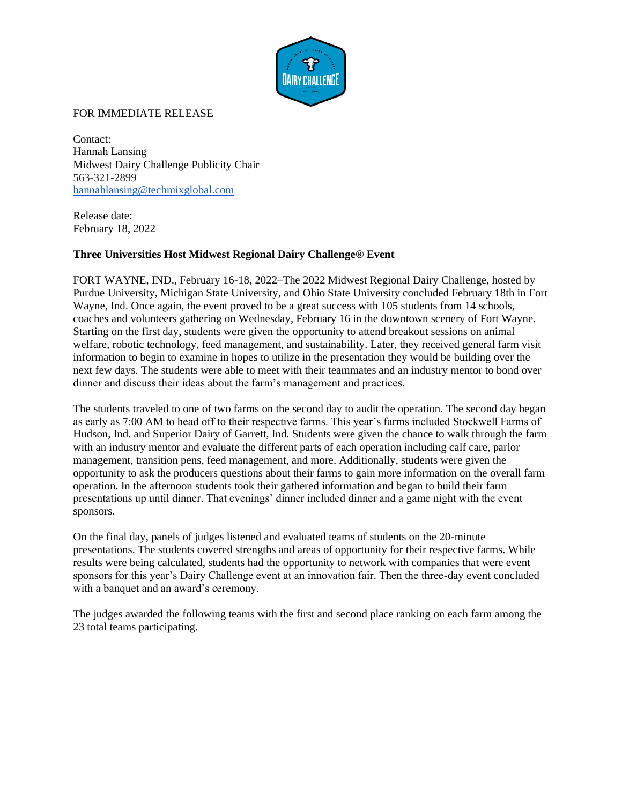

## FOR IMMEDIATE RELEASE

Contact: Hannah Lansing Midwest Dairy Challenge Publicity Chair 563-321-2899 [hannahlansing@techmixglobal.com](mailto:hannahlansing@techmixglobal.com)

Release date: February 18, 2022

## **Three Universities Host Midwest Regional Dairy Challenge® Event**

FORT WAYNE, IND., February 16-18, 2022–The 2022 Midwest Regional Dairy Challenge, hosted by Purdue University, Michigan State University, and Ohio State University concluded February 18th in Fort Wayne, Ind. Once again, the event proved to be a great success with 105 students from 14 schools, coaches and volunteers gathering on Wednesday, February 16 in the downtown scenery of Fort Wayne. Starting on the first day, students were given the opportunity to attend breakout sessions on animal welfare, robotic technology, feed management, and sustainability. Later, they received general farm visit information to begin to examine in hopes to utilize in the presentation they would be building over the next few days. The students were able to meet with their teammates and an industry mentor to bond over dinner and discuss their ideas about the farm's management and practices.

The students traveled to one of two farms on the second day to audit the operation. The second day began as early as 7:00 AM to head off to their respective farms. This year's farms included Stockwell Farms of Hudson, Ind. and Superior Dairy of Garrett, Ind. Students were given the chance to walk through the farm with an industry mentor and evaluate the different parts of each operation including calf care, parlor management, transition pens, feed management, and more. Additionally, students were given the opportunity to ask the producers questions about their farms to gain more information on the overall farm operation. In the afternoon students took their gathered information and began to build their farm presentations up until dinner. That evenings' dinner included dinner and a game night with the event sponsors.

On the final day, panels of judges listened and evaluated teams of students on the 20-minute presentations. The students covered strengths and areas of opportunity for their respective farms. While results were being calculated, students had the opportunity to network with companies that were event sponsors for this year's Dairy Challenge event at an innovation fair. Then the three-day event concluded with a banquet and an award's ceremony.

The judges awarded the following teams with the first and second place ranking on each farm among the 23 total teams participating.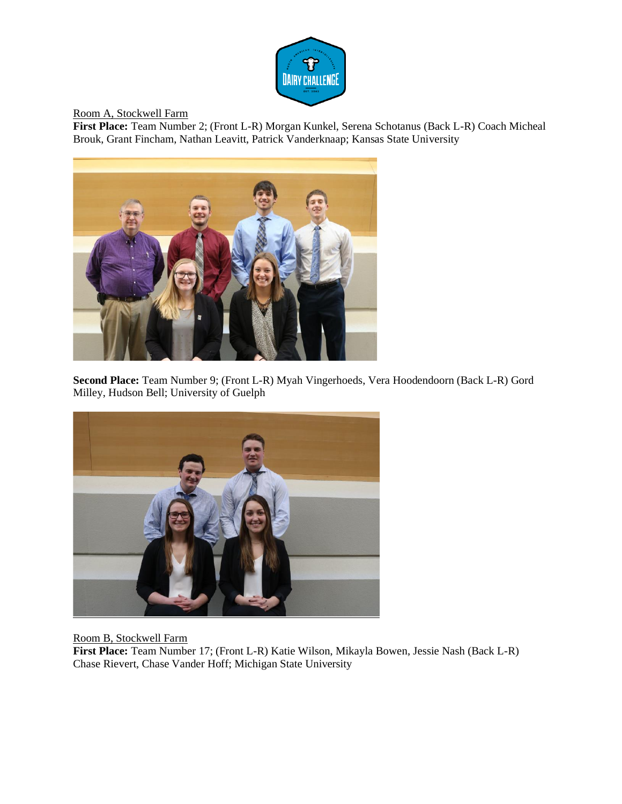

Room A, Stockwell Farm

**First Place:** Team Number 2; (Front L-R) Morgan Kunkel, Serena Schotanus (Back L-R) Coach Micheal Brouk, Grant Fincham, Nathan Leavitt, Patrick Vanderknaap; Kansas State University



**Second Place:** Team Number 9; (Front L-R) Myah Vingerhoeds, Vera Hoodendoorn (Back L-R) Gord Milley, Hudson Bell; University of Guelph



Room B, Stockwell Farm

**First Place:** Team Number 17; (Front L-R) Katie Wilson, Mikayla Bowen, Jessie Nash (Back L-R) Chase Rievert, Chase Vander Hoff; Michigan State University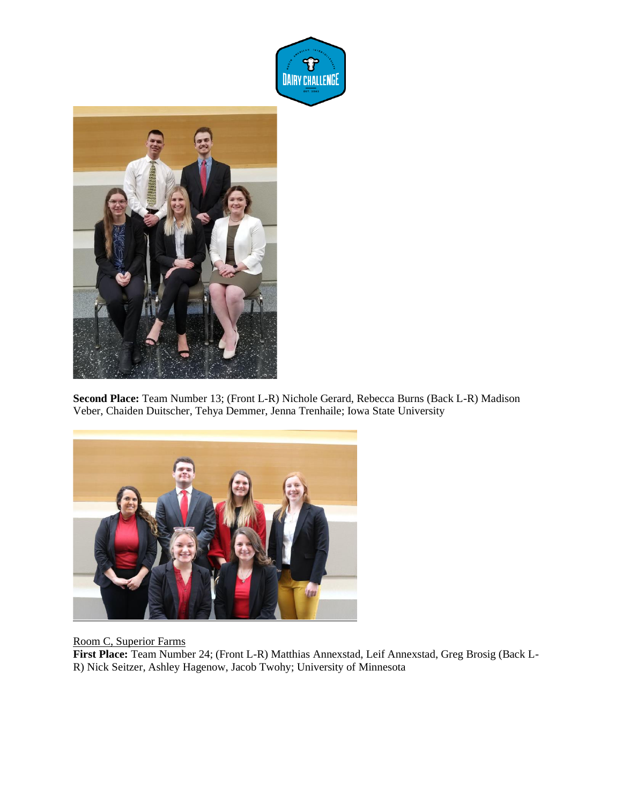



**Second Place:** Team Number 13; (Front L-R) Nichole Gerard, Rebecca Burns (Back L-R) Madison Veber, Chaiden Duitscher, Tehya Demmer, Jenna Trenhaile; Iowa State University



Room C, Superior Farms

**First Place:** Team Number 24; (Front L-R) Matthias Annexstad, Leif Annexstad, Greg Brosig (Back L-R) Nick Seitzer, Ashley Hagenow, Jacob Twohy; University of Minnesota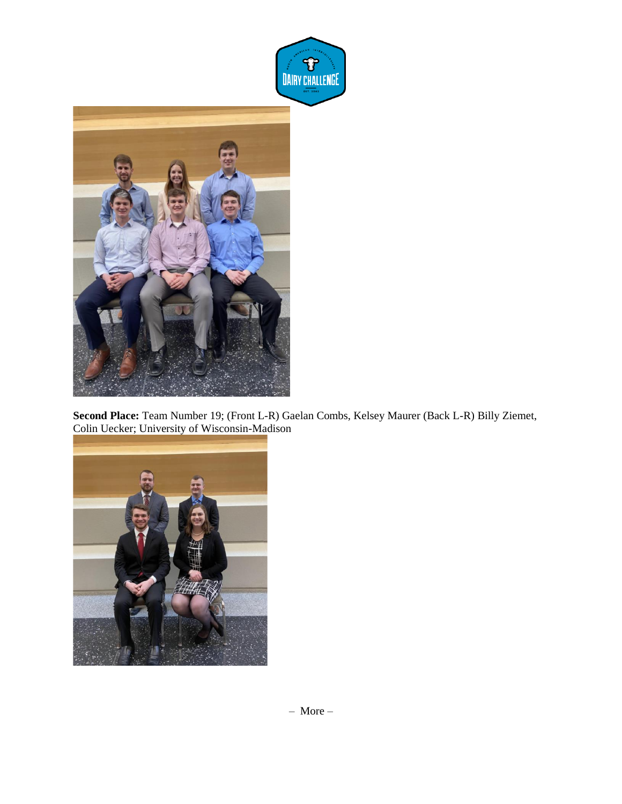

**Second Place:** Team Number 19; (Front L-R) Gaelan Combs, Kelsey Maurer (Back L-R) Billy Ziemet, Colin Uecker; University of Wisconsin-Madison